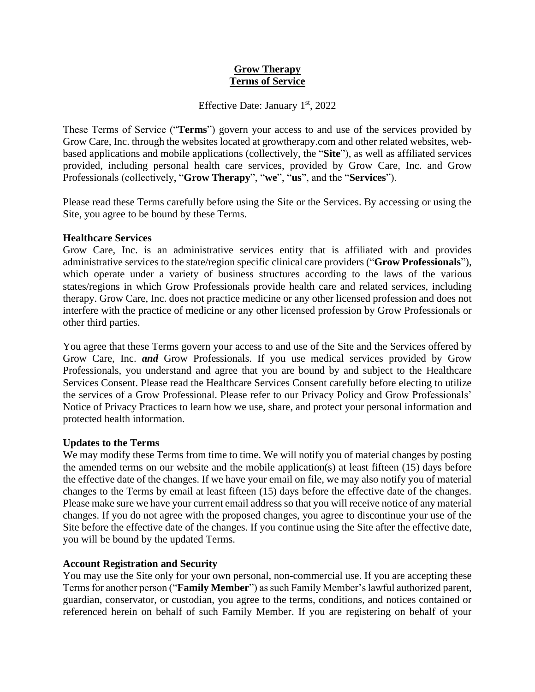# **Grow Therapy Terms of Service**

Effective Date: January  $1<sup>st</sup>$ , 2022

These Terms of Service ("**Terms**") govern your access to and use of the services provided by Grow Care, Inc. through the websites located at growtherapy.com and other related websites, webbased applications and mobile applications (collectively, the "**Site**"), as well as affiliated services provided, including personal health care services, provided by Grow Care, Inc. and Grow Professionals (collectively, "**Grow Therapy**", "**we**", "**us**", and the "**Services**").

Please read these Terms carefully before using the Site or the Services. By accessing or using the Site, you agree to be bound by these Terms.

## **Healthcare Services**

Grow Care, Inc. is an administrative services entity that is affiliated with and provides administrative services to the state/region specific clinical care providers ("**Grow Professionals**"), which operate under a variety of business structures according to the laws of the various states/regions in which Grow Professionals provide health care and related services, including therapy. Grow Care, Inc. does not practice medicine or any other licensed profession and does not interfere with the practice of medicine or any other licensed profession by Grow Professionals or other third parties.

You agree that these Terms govern your access to and use of the Site and the Services offered by Grow Care, Inc. *and* Grow Professionals. If you use medical services provided by Grow Professionals, you understand and agree that you are bound by and subject to the Healthcare Services Consent. Please read the Healthcare Services Consent carefully before electing to utilize the services of a Grow Professional. Please refer to our Privacy Policy and Grow Professionals' Notice of Privacy Practices to learn how we use, share, and protect your personal information and protected health information.

## **Updates to the Terms**

We may modify these Terms from time to time. We will notify you of material changes by posting the amended terms on our website and the mobile application(s) at least fifteen (15) days before the effective date of the changes. If we have your email on file, we may also notify you of material changes to the Terms by email at least fifteen (15) days before the effective date of the changes. Please make sure we have your current email address so that you will receive notice of any material changes. If you do not agree with the proposed changes, you agree to discontinue your use of the Site before the effective date of the changes. If you continue using the Site after the effective date, you will be bound by the updated Terms.

# **Account Registration and Security**

You may use the Site only for your own personal, non-commercial use. If you are accepting these Terms for another person ("**Family Member**") as such Family Member's lawful authorized parent, guardian, conservator, or custodian, you agree to the terms, conditions, and notices contained or referenced herein on behalf of such Family Member. If you are registering on behalf of your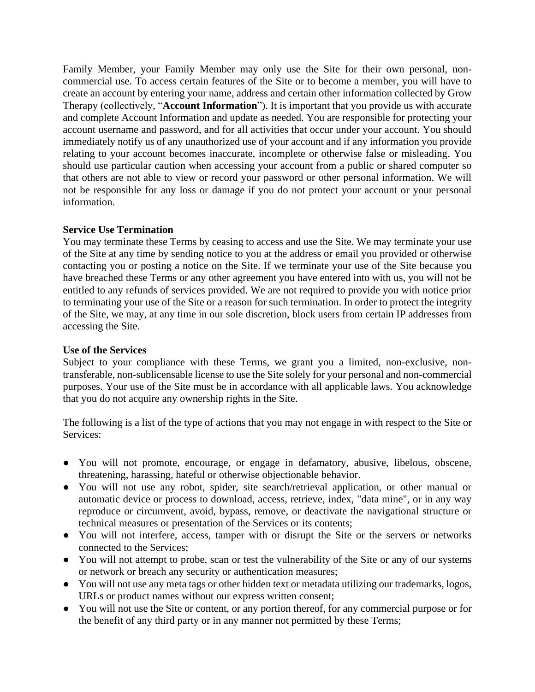Family Member, your Family Member may only use the Site for their own personal, noncommercial use. To access certain features of the Site or to become a member, you will have to create an account by entering your name, address and certain other information collected by Grow Therapy (collectively, "**Account Information**"). It is important that you provide us with accurate and complete Account Information and update as needed. You are responsible for protecting your account username and password, and for all activities that occur under your account. You should immediately notify us of any unauthorized use of your account and if any information you provide relating to your account becomes inaccurate, incomplete or otherwise false or misleading. You should use particular caution when accessing your account from a public or shared computer so that others are not able to view or record your password or other personal information. We will not be responsible for any loss or damage if you do not protect your account or your personal information.

## **Service Use Termination**

You may terminate these Terms by ceasing to access and use the Site. We may terminate your use of the Site at any time by sending notice to you at the address or email you provided or otherwise contacting you or posting a notice on the Site. If we terminate your use of the Site because you have breached these Terms or any other agreement you have entered into with us, you will not be entitled to any refunds of services provided. We are not required to provide you with notice prior to terminating your use of the Site or a reason for such termination. In order to protect the integrity of the Site, we may, at any time in our sole discretion, block users from certain IP addresses from accessing the Site.

# **Use of the Services**

Subject to your compliance with these Terms, we grant you a limited, non-exclusive, nontransferable, non-sublicensable license to use the Site solely for your personal and non-commercial purposes. Your use of the Site must be in accordance with all applicable laws. You acknowledge that you do not acquire any ownership rights in the Site.

The following is a list of the type of actions that you may not engage in with respect to the Site or Services:

- You will not promote, encourage, or engage in defamatory, abusive, libelous, obscene, threatening, harassing, hateful or otherwise objectionable behavior.
- You will not use any robot, spider, site search/retrieval application, or other manual or automatic device or process to download, access, retrieve, index, "data mine", or in any way reproduce or circumvent, avoid, bypass, remove, or deactivate the navigational structure or technical measures or presentation of the Services or its contents;
- You will not interfere, access, tamper with or disrupt the Site or the servers or networks connected to the Services;
- You will not attempt to probe, scan or test the vulnerability of the Site or any of our systems or network or breach any security or authentication measures;
- You will not use any meta tags or other hidden text or metadata utilizing our trademarks, logos, URLs or product names without our express written consent;
- You will not use the Site or content, or any portion thereof, for any commercial purpose or for the benefit of any third party or in any manner not permitted by these Terms;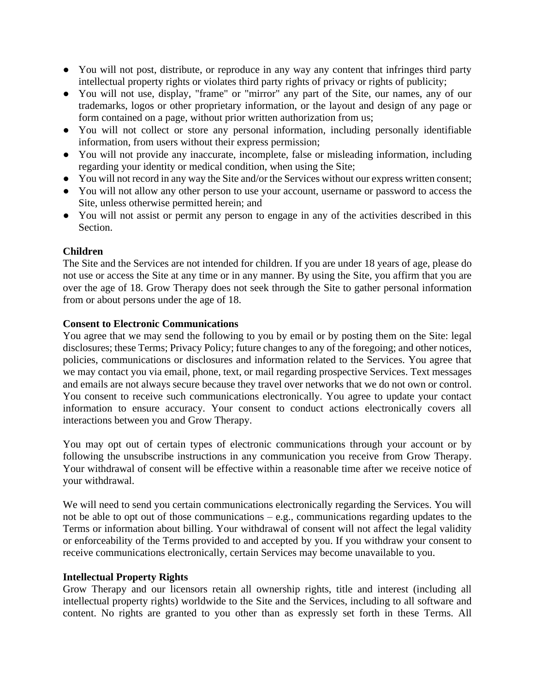- You will not post, distribute, or reproduce in any way any content that infringes third party intellectual property rights or violates third party rights of privacy or rights of publicity;
- You will not use, display, "frame" or "mirror" any part of the Site, our names, any of our trademarks, logos or other proprietary information, or the layout and design of any page or form contained on a page, without prior written authorization from us;
- You will not collect or store any personal information, including personally identifiable information, from users without their express permission;
- You will not provide any inaccurate, incomplete, false or misleading information, including regarding your identity or medical condition, when using the Site;
- You will not record in any way the Site and/or the Services without our express written consent;
- You will not allow any other person to use your account, username or password to access the Site, unless otherwise permitted herein; and
- You will not assist or permit any person to engage in any of the activities described in this Section.

# **Children**

The Site and the Services are not intended for children. If you are under 18 years of age, please do not use or access the Site at any time or in any manner. By using the Site, you affirm that you are over the age of 18. Grow Therapy does not seek through the Site to gather personal information from or about persons under the age of 18.

# **Consent to Electronic Communications**

You agree that we may send the following to you by email or by posting them on the Site: legal disclosures; these Terms; Privacy Policy; future changes to any of the foregoing; and other notices, policies, communications or disclosures and information related to the Services. You agree that we may contact you via email, phone, text, or mail regarding prospective Services. Text messages and emails are not always secure because they travel over networks that we do not own or control. You consent to receive such communications electronically. You agree to update your contact information to ensure accuracy. Your consent to conduct actions electronically covers all interactions between you and Grow Therapy.

You may opt out of certain types of electronic communications through your account or by following the unsubscribe instructions in any communication you receive from Grow Therapy. Your withdrawal of consent will be effective within a reasonable time after we receive notice of your withdrawal.

We will need to send you certain communications electronically regarding the Services. You will not be able to opt out of those communications – e.g., communications regarding updates to the Terms or information about billing. Your withdrawal of consent will not affect the legal validity or enforceability of the Terms provided to and accepted by you. If you withdraw your consent to receive communications electronically, certain Services may become unavailable to you.

## **Intellectual Property Rights**

Grow Therapy and our licensors retain all ownership rights, title and interest (including all intellectual property rights) worldwide to the Site and the Services, including to all software and content. No rights are granted to you other than as expressly set forth in these Terms. All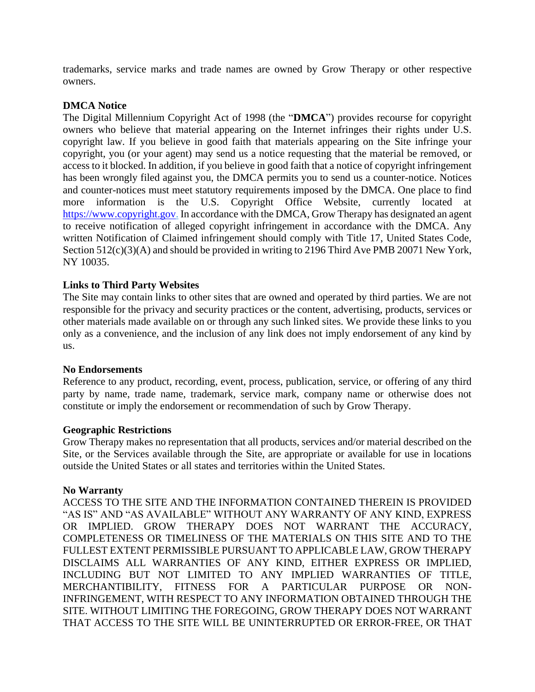trademarks, service marks and trade names are owned by Grow Therapy or other respective owners.

# **DMCA Notice**

The Digital Millennium Copyright Act of 1998 (the "**DMCA**") provides recourse for copyright owners who believe that material appearing on the Internet infringes their rights under U.S. copyright law. If you believe in good faith that materials appearing on the Site infringe your copyright, you (or your agent) may send us a notice requesting that the material be removed, or access to it blocked. In addition, if you believe in good faith that a notice of copyright infringement has been wrongly filed against you, the DMCA permits you to send us a counter-notice. Notices and counter-notices must meet statutory requirements imposed by the DMCA. One place to find more information is the U.S. Copyright Office Website, currently located at [https://www.copyright.gov.](https://www.copyright.gov/) In accordance with the DMCA, Grow Therapy has designated an agent to receive notification of alleged copyright infringement in accordance with the DMCA. Any written Notification of Claimed infringement should comply with Title 17, United States Code, Section  $512(c)(3)$ (A) and should be provided in writing to 2196 Third Ave PMB 20071 New York, NY 10035.

# **Links to Third Party Websites**

The Site may contain links to other sites that are owned and operated by third parties. We are not responsible for the privacy and security practices or the content, advertising, products, services or other materials made available on or through any such linked sites. We provide these links to you only as a convenience, and the inclusion of any link does not imply endorsement of any kind by us.

## **No Endorsements**

Reference to any product, recording, event, process, publication, service, or offering of any third party by name, trade name, trademark, service mark, company name or otherwise does not constitute or imply the endorsement or recommendation of such by Grow Therapy.

## **Geographic Restrictions**

Grow Therapy makes no representation that all products, services and/or material described on the Site, or the Services available through the Site, are appropriate or available for use in locations outside the United States or all states and territories within the United States.

## **No Warranty**

ACCESS TO THE SITE AND THE INFORMATION CONTAINED THEREIN IS PROVIDED "AS IS" AND "AS AVAILABLE" WITHOUT ANY WARRANTY OF ANY KIND, EXPRESS OR IMPLIED. GROW THERAPY DOES NOT WARRANT THE ACCURACY, COMPLETENESS OR TIMELINESS OF THE MATERIALS ON THIS SITE AND TO THE FULLEST EXTENT PERMISSIBLE PURSUANT TO APPLICABLE LAW, GROW THERAPY DISCLAIMS ALL WARRANTIES OF ANY KIND, EITHER EXPRESS OR IMPLIED, INCLUDING BUT NOT LIMITED TO ANY IMPLIED WARRANTIES OF TITLE, MERCHANTIBILITY, FITNESS FOR A PARTICULAR PURPOSE OR NON-INFRINGEMENT, WITH RESPECT TO ANY INFORMATION OBTAINED THROUGH THE SITE. WITHOUT LIMITING THE FOREGOING, GROW THERAPY DOES NOT WARRANT THAT ACCESS TO THE SITE WILL BE UNINTERRUPTED OR ERROR-FREE, OR THAT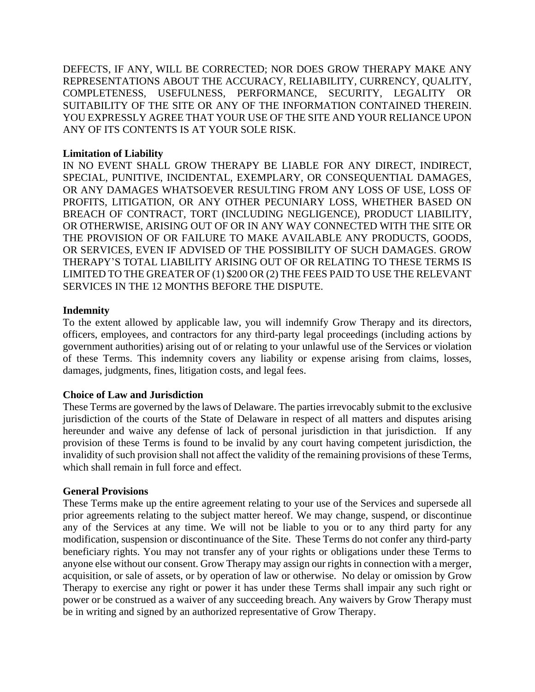DEFECTS, IF ANY, WILL BE CORRECTED; NOR DOES GROW THERAPY MAKE ANY REPRESENTATIONS ABOUT THE ACCURACY, RELIABILITY, CURRENCY, QUALITY, COMPLETENESS, USEFULNESS, PERFORMANCE, SECURITY, LEGALITY OR SUITABILITY OF THE SITE OR ANY OF THE INFORMATION CONTAINED THEREIN. YOU EXPRESSLY AGREE THAT YOUR USE OF THE SITE AND YOUR RELIANCE UPON ANY OF ITS CONTENTS IS AT YOUR SOLE RISK.

# **Limitation of Liability**

IN NO EVENT SHALL GROW THERAPY BE LIABLE FOR ANY DIRECT, INDIRECT, SPECIAL, PUNITIVE, INCIDENTAL, EXEMPLARY, OR CONSEQUENTIAL DAMAGES, OR ANY DAMAGES WHATSOEVER RESULTING FROM ANY LOSS OF USE, LOSS OF PROFITS, LITIGATION, OR ANY OTHER PECUNIARY LOSS, WHETHER BASED ON BREACH OF CONTRACT, TORT (INCLUDING NEGLIGENCE), PRODUCT LIABILITY, OR OTHERWISE, ARISING OUT OF OR IN ANY WAY CONNECTED WITH THE SITE OR THE PROVISION OF OR FAILURE TO MAKE AVAILABLE ANY PRODUCTS, GOODS, OR SERVICES, EVEN IF ADVISED OF THE POSSIBILITY OF SUCH DAMAGES. GROW THERAPY'S TOTAL LIABILITY ARISING OUT OF OR RELATING TO THESE TERMS IS LIMITED TO THE GREATER OF (1) \$200 OR (2) THE FEES PAID TO USE THE RELEVANT SERVICES IN THE 12 MONTHS BEFORE THE DISPUTE.

# **Indemnity**

To the extent allowed by applicable law, you will indemnify Grow Therapy and its directors, officers, employees, and contractors for any third-party legal proceedings (including actions by government authorities) arising out of or relating to your unlawful use of the Services or violation of these Terms. This indemnity covers any liability or expense arising from claims, losses, damages, judgments, fines, litigation costs, and legal fees.

# **Choice of Law and Jurisdiction**

These Terms are governed by the laws of Delaware. The parties irrevocably submit to the exclusive jurisdiction of the courts of the State of Delaware in respect of all matters and disputes arising hereunder and waive any defense of lack of personal jurisdiction in that jurisdiction. If any provision of these Terms is found to be invalid by any court having competent jurisdiction, the invalidity of such provision shall not affect the validity of the remaining provisions of these Terms, which shall remain in full force and effect.

## **General Provisions**

These Terms make up the entire agreement relating to your use of the Services and supersede all prior agreements relating to the subject matter hereof. We may change, suspend, or discontinue any of the Services at any time. We will not be liable to you or to any third party for any modification, suspension or discontinuance of the Site. These Terms do not confer any third-party beneficiary rights. You may not transfer any of your rights or obligations under these Terms to anyone else without our consent. Grow Therapy may assign our rights in connection with a merger, acquisition, or sale of assets, or by operation of law or otherwise. No delay or omission by Grow Therapy to exercise any right or power it has under these Terms shall impair any such right or power or be construed as a waiver of any succeeding breach. Any waivers by Grow Therapy must be in writing and signed by an authorized representative of Grow Therapy.